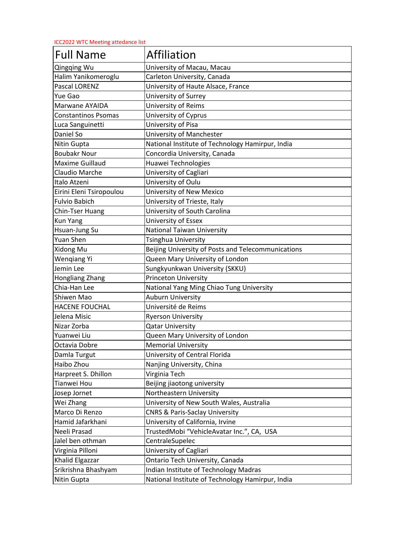ICC2022 WTC Meeting attedance list

| <b>Full Name</b>           | Affiliation                                        |
|----------------------------|----------------------------------------------------|
| Qingqing Wu                | University of Macau, Macau                         |
| Halim Yanikomeroglu        | Carleton University, Canada                        |
| Pascal LORENZ              | University of Haute Alsace, France                 |
| Yue Gao                    | University of Surrey                               |
| Marwane AYAIDA             | University of Reims                                |
| <b>Constantinos Psomas</b> | University of Cyprus                               |
| Luca Sanguinetti           | University of Pisa                                 |
| Daniel So                  | University of Manchester                           |
| Nitin Gupta                | National Institute of Technology Hamirpur, India   |
| <b>Boubakr Nour</b>        | Concordia University, Canada                       |
| <b>Maxime Guillaud</b>     | Huawei Technologies                                |
| Claudio Marche             | University of Cagliari                             |
| Italo Atzeni               | University of Oulu                                 |
| Eirini Eleni Tsiropoulou   | University of New Mexico                           |
| <b>Fulvio Babich</b>       | University of Trieste, Italy                       |
| Chin-Tser Huang            | University of South Carolina                       |
| <b>Kun Yang</b>            | University of Essex                                |
| Hsuan-Jung Su              | <b>National Taiwan University</b>                  |
| Yuan Shen                  | Tsinghua University                                |
| Xidong Mu                  | Beijing University of Posts and Telecommunications |
| <b>Wengiang Yi</b>         | Queen Mary University of London                    |
| Jemin Lee                  | Sungkyunkwan University (SKKU)                     |
| Hongliang Zhang            | <b>Princeton University</b>                        |
| Chia-Han Lee               | National Yang Ming Chiao Tung University           |
| Shiwen Mao                 | <b>Auburn University</b>                           |
| <b>HACENE FOUCHAL</b>      | Université de Reims                                |
| Jelena Misic               | <b>Ryerson University</b>                          |
| Nizar Zorba                | <b>Qatar University</b>                            |
| Yuanwei Liu                | Queen Mary University of London                    |
| Octavia Dobre              | <b>Memorial University</b>                         |
| Damla Turgut               | University of Central Florida                      |
| Haibo Zhou                 | Nanjing University, China                          |
| Harpreet S. Dhillon        | Virginia Tech                                      |
| Tianwei Hou                | Beijing jiaotong university                        |
| Josep Jornet               | Northeastern University                            |
| Wei Zhang                  | University of New South Wales, Australia           |
| Marco Di Renzo             | <b>CNRS &amp; Paris-Saclay University</b>          |
| Hamid Jafarkhani           | University of California, Irvine                   |
| Neeli Prasad               | TrustedMobi "VehicleAvatar Inc.", CA, USA          |
| Jalel ben othman           | CentraleSupelec                                    |
| Virginia Pilloni           | University of Cagliari                             |
| Khalid Elgazzar            | Ontario Tech University, Canada                    |
| Srikrishna Bhashyam        | Indian Institute of Technology Madras              |
| Nitin Gupta                | National Institute of Technology Hamirpur, India   |